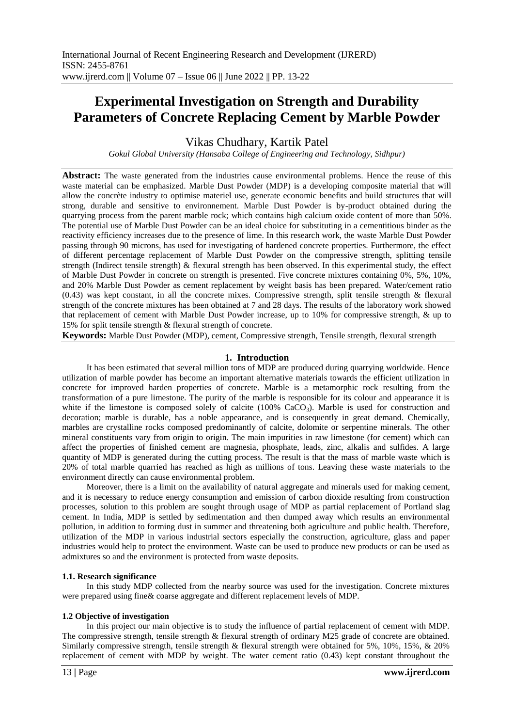# **Experimental Investigation on Strength and Durability Parameters of Concrete Replacing Cement by Marble Powder**

Vikas Chudhary, Kartik Patel

*Gokul Global University (Hansaba College of Engineering and Technology, Sidhpur)*

**Abstract:** The waste generated from the industries cause environmental problems. Hence the reuse of this waste material can be emphasized. Marble Dust Powder (MDP) is a developing composite material that will allow the concrète industry to optimise materiel use, generate economic benefits and build structures that will strong, durable and sensitive to environnement. Marble Dust Powder is by-product obtained during the quarrying process from the parent marble rock; which contains high calcium oxide content of more than 50%. The potential use of Marble Dust Powder can be an ideal choice for substituting in a cementitious binder as the reactivity efficiency increases due to the presence of lime. In this research work, the waste Marble Dust Powder passing through 90 microns, has used for investigating of hardened concrete properties. Furthermore, the effect of different percentage replacement of Marble Dust Powder on the compressive strength, splitting tensile strength (Indirect tensile strength) & flexural strength has been observed. In this experimental study, the effect of Marble Dust Powder in concrete on strength is presented. Five concrete mixtures containing 0%, 5%, 10%, and 20% Marble Dust Powder as cement replacement by weight basis has been prepared. Water/cement ratio (0.43) was kept constant, in all the concrete mixes. Compressive strength, split tensile strength & flexural strength of the concrete mixtures has been obtained at 7 and 28 days. The results of the laboratory work showed that replacement of cement with Marble Dust Powder increase, up to 10% for compressive strength, & up to 15% for split tensile strength & flexural strength of concrete.

**Keywords:** Marble Dust Powder (MDP), cement, Compressive strength, Tensile strength, flexural strength

# **1. Introduction**

It has been estimated that several million tons of MDP are produced during quarrying worldwide. Hence utilization of marble powder has become an important alternative materials towards the efficient utilization in concrete for improved harden properties of concrete. Marble is a metamorphic rock resulting from the transformation of a pure limestone. The purity of the marble is responsible for its colour and appearance it is white if the limestone is composed solely of calcite (100% CaCO<sub>3</sub>). Marble is used for construction and decoration; marble is durable, has a noble appearance, and is consequently in great demand. Chemically, marbles are crystalline rocks composed predominantly of calcite, dolomite or serpentine minerals. The other mineral constituents vary from origin to origin. The main impurities in raw limestone (for cement) which can affect the properties of finished cement are magnesia, phosphate, leads, zinc, alkalis and sulfides. A large quantity of MDP is generated during the cutting process. The result is that the mass of marble waste which is 20% of total marble quarried has reached as high as millions of tons. Leaving these waste materials to the environment directly can cause environmental problem.

Moreover, there is a limit on the availability of natural aggregate and minerals used for making cement, and it is necessary to reduce energy consumption and emission of carbon dioxide resulting from construction processes, solution to this problem are sought through usage of MDP as partial replacement of Portland slag cement. In India, MDP is settled by sedimentation and then dumped away which results an environmental pollution, in addition to forming dust in summer and threatening both agriculture and public health. Therefore, utilization of the MDP in various industrial sectors especially the construction, agriculture, glass and paper industries would help to protect the environment. Waste can be used to produce new products or can be used as admixtures so and the environment is protected from waste deposits.

#### **1.1. Research significance**

In this study MDP collected from the nearby source was used for the investigation. Concrete mixtures were prepared using fine& coarse aggregate and different replacement levels of MDP.

#### **1.2 Objective of investigation**

In this project our main objective is to study the influence of partial replacement of cement with MDP. The compressive strength, tensile strength & flexural strength of ordinary M25 grade of concrete are obtained. Similarly compressive strength, tensile strength & flexural strength were obtained for 5%, 10%, 15%, & 20% replacement of cement with MDP by weight. The water cement ratio (0.43) kept constant throughout the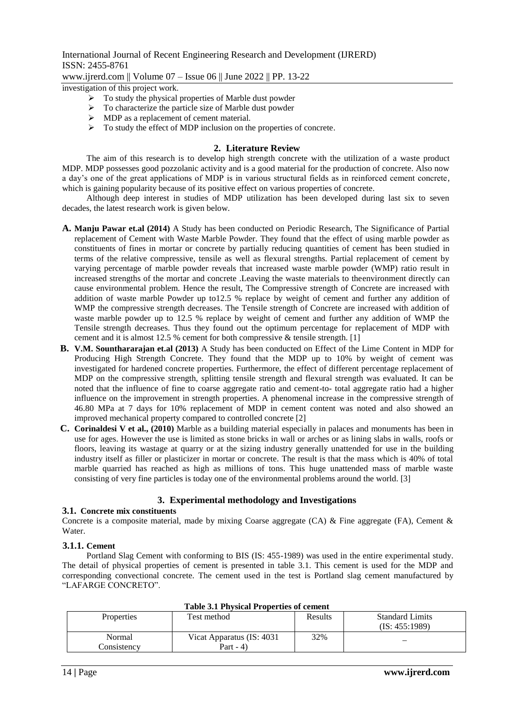International Journal of Recent Engineering Research and Development (IJRERD) ISSN: 2455-8761 www.ijrerd.com || Volume 07 – Issue 06 || June 2022 || PP. 13-22

investigation of this project work.

- $\triangleright$  To study the physical properties of Marble dust powder
- $\triangleright$  To characterize the particle size of Marble dust powder
- $\triangleright$  MDP as a replacement of cement material.
- $\triangleright$  To study the effect of MDP inclusion on the properties of concrete.

#### **2. Literature Review**

The aim of this research is to develop high strength concrete with the utilization of a waste product MDP. MDP possesses good pozzolanic activity and is a good material for the production of concrete. Also now a day's one of the great applications of MDP is in various structural fields as in reinforced cement concrete, which is gaining popularity because of its positive effect on various properties of concrete.

Although deep interest in studies of MDP utilization has been developed during last six to seven decades, the latest research work is given below.

- **A. Manju Pawar et.al (2014)** A Study has been conducted on Periodic Research, The Significance of Partial replacement of Cement with Waste Marble Powder. They found that the effect of using marble powder as constituents of fines in mortar or concrete by partially reducing quantities of cement has been studied in terms of the relative compressive, tensile as well as flexural strengths. Partial replacement of cement by varying percentage of marble powder reveals that increased waste marble powder (WMP) ratio result in increased strengths of the mortar and concrete .Leaving the waste materials to theenvironment directly can cause environmental problem. Hence the result, The Compressive strength of Concrete are increased with addition of waste marble Powder up to12.5 % replace by weight of cement and further any addition of WMP the compressive strength decreases. The Tensile strength of Concrete are increased with addition of waste marble powder up to 12.5 % replace by weight of cement and further any addition of WMP the Tensile strength decreases. Thus they found out the optimum percentage for replacement of MDP with cement and it is almost 12.5 % cement for both compressive & tensile strength. [1]
- **B. V.M. Sounthararajan et.al (2013)** A Study has been conducted on Effect of the Lime Content in MDP for Producing High Strength Concrete. They found that the MDP up to 10% by weight of cement was investigated for hardened concrete properties. Furthermore, the effect of different percentage replacement of MDP on the compressive strength, splitting tensile strength and flexural strength was evaluated. It can be noted that the influence of fine to coarse aggregate ratio and cement-to- total aggregate ratio had a higher influence on the improvement in strength properties. A phenomenal increase in the compressive strength of 46.80 MPa at 7 days for 10% replacement of MDP in cement content was noted and also showed an improved mechanical property compared to controlled concrete [2]
- **C. Corinaldesi V et al., (2010)** Marble as a building material especially in palaces and monuments has been in use for ages. However the use is limited as stone bricks in wall or arches or as lining slabs in walls, roofs or floors, leaving its wastage at quarry or at the sizing industry generally unattended for use in the building industry itself as filler or plasticizer in mortar or concrete. The result is that the mass which is 40% of total marble quarried has reached as high as millions of tons. This huge unattended mass of marble waste consisting of very fine particles is today one of the environmental problems around the world. [3]

## **3. Experimental methodology and Investigations**

#### **3.1. Concrete mix constituents**

Concrete is a composite material, made by mixing Coarse aggregate (CA) & Fine aggregate (FA), Cement & Water.

#### **3.1.1. Cement**

Portland Slag Cement with conforming to BIS (IS: 455-1989) was used in the entire experimental study. The detail of physical properties of cement is presented in table 3.1. This cement is used for the MDP and corresponding convectional concrete. The cement used in the test is Portland slag cement manufactured by "LAFARGE CONCRETO".

|                                  | Tudie on Theorem Troperates of centenc |                                         |                                          |   |  |  |  |
|----------------------------------|----------------------------------------|-----------------------------------------|------------------------------------------|---|--|--|--|
| Test method<br><b>Properties</b> |                                        | Results                                 | <b>Standard Limits</b><br>(IS: 455:1989) |   |  |  |  |
|                                  | Normal<br>Consistency                  | Vicat Apparatus (IS: 4031)<br>Part - 4) | 32%                                      | — |  |  |  |

# **Table 3.1 Physical Properties of cement**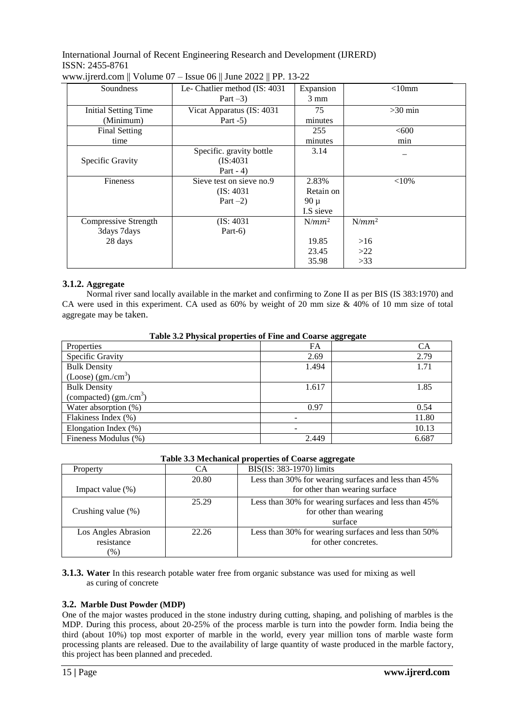| Soundness                   | Le- Chatlier method (IS: 4031) |           | $<$ 10 $mm$ |
|-----------------------------|--------------------------------|-----------|-------------|
| Part $-3$ )                 |                                | 3 mm      |             |
| <b>Initial Setting Time</b> | Vicat Apparatus (IS: 4031)     | 75        | $>30$ min   |
| (Minimum)                   | Part $-5$ )                    | minutes   |             |
| <b>Final Setting</b>        |                                | 255       | < 600       |
| time                        |                                | minutes   | min         |
|                             | Specific. gravity bottle       | 3.14      |             |
| Specific Gravity            | (IS:4031)                      |           |             |
|                             | Part $-4$ )                    |           |             |
| <b>Fineness</b>             | Sieve test on sieve no.9       | 2.83%     | ${<}10\%$   |
|                             | (IS: 4031)                     | Retain on |             |
|                             | Part $-2$ )                    | $90 \mu$  |             |
|                             |                                | I.S sieve |             |
| Compressive Strength        | (IS: 4031)                     | $N/mm^2$  | $N/mm^2$    |
| 3days 7days                 | Part- $6)$                     |           |             |
| 28 days                     |                                | 19.85     | >16         |
|                             |                                | 23.45     | >22         |
|                             |                                | 35.98     | $>33$       |

# **3.1.2. Aggregate**

Normal river sand locally available in the market and confirming to Zone II as per BIS (IS 383:1970) and CA were used in this experiment. CA used as 60% by weight of 20 mm size & 40% of 10 mm size of total aggregate may be taken.

|  |  |  | Table 3.2 Physical properties of Fine and Coarse aggregate |
|--|--|--|------------------------------------------------------------|
|--|--|--|------------------------------------------------------------|

|                                  |           | œ<br>$\overline{\phantom{a}}$ |
|----------------------------------|-----------|-------------------------------|
| Properties                       | <b>FA</b> | CА                            |
| Specific Gravity                 | 2.69      | 2.79                          |
| <b>Bulk Density</b>              | 1.494     | 1.71                          |
| $(Loose)$ (gm./cm <sup>3</sup> ) |           |                               |
| <b>Bulk Density</b>              | 1.617     | 1.85                          |
| (compacted) $(gm./cm^3)$         |           |                               |
| Water absorption (%)             | 0.97      | 0.54                          |
| Flakiness Index (%)              |           | 11.80                         |
| Elongation Index (%)             |           | 10.13                         |
| Fineness Modulus (%)             | 2.449     | 6.687                         |

| Table 3.3 Mechanical properties of Coarse aggregate |       |                                           |  |  |
|-----------------------------------------------------|-------|-------------------------------------------|--|--|
|                                                     |       | BIS(IS: 383-1970) limits                  |  |  |
|                                                     | ኃስ የስ | Loss than $200/$ for weaving surfaces and |  |  |

| Property                                    | CА    | BIS(IS: 383-1970) limits                                                                  |
|---------------------------------------------|-------|-------------------------------------------------------------------------------------------|
| Impact value $(\%)$                         | 20.80 | Less than 30% for wearing surfaces and less than 45%<br>for other than wearing surface    |
| Crushing value (%)                          | 25.29 | Less than 30% for wearing surfaces and less than 45%<br>for other than wearing<br>surface |
| Los Angles Abrasion<br>resistance<br>$(\%)$ | 22.26 | Less than 30% for wearing surfaces and less than 50%<br>for other concretes.              |

**3.1.3. Water** In this research potable water free from organic substance was used for mixing as well as curing of concrete

# **3.2. Marble Dust Powder (MDP)**

One of the major wastes produced in the stone industry during cutting, shaping, and polishing of marbles is the MDP. During this process, about 20-25% of the process marble is turn into the powder form. India being the third (about 10%) top most exporter of marble in the world, every year million tons of marble waste form processing plants are released. Due to the availability of large quantity of waste produced in the marble factory, this project has been planned and preceded.

 $\Box$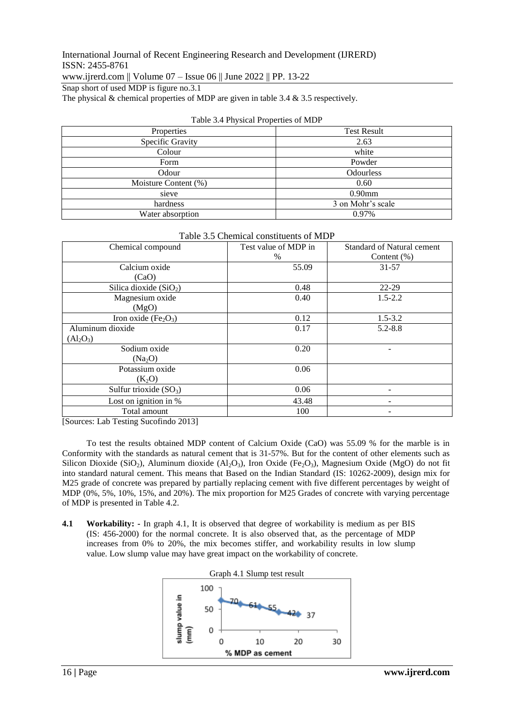www.ijrerd.com || Volume 07 – Issue 06 || June 2022 || PP. 13-22

Snap short of used MDP is figure no.3.1

The physical & chemical properties of MDP are given in table 3.4 & 3.5 respectively.

| $\overline{\phantom{a}}$ |                    |
|--------------------------|--------------------|
| Properties               | <b>Test Result</b> |
| Specific Gravity         | 2.63               |
| Colour                   | white              |
| Form                     | Powder             |
| Odour                    | Odourless          |
| Moisture Content (%)     | 0.60               |
| sieve                    | $0.90$ mm          |
| hardness                 | 3 on Mohr's scale  |
| Water absorption         | 0.97%              |

| Chemical compound                            | Test value of MDP in<br>% | <b>Standard of Natural cement</b><br>Content $(\% )$ |
|----------------------------------------------|---------------------------|------------------------------------------------------|
| Calcium oxide                                | 55.09                     | 31-57                                                |
| (CaO)                                        |                           |                                                      |
| Silica dioxide $(SiO2)$                      | 0.48                      | 22-29                                                |
| Magnesium oxide                              | 0.40                      | $1.5 - 2.2$                                          |
| (MgO)                                        |                           |                                                      |
| Iron oxide (Fe <sub>2</sub> O <sub>3</sub> ) | 0.12                      | $1.5 - 3.2$                                          |
| Aluminum dioxide                             | 0.17                      | $5.2 - 8.8$                                          |
| $(Al_2O_3)$                                  |                           |                                                      |
| Sodium oxide                                 | 0.20                      |                                                      |
| (Na <sub>2</sub> O)                          |                           |                                                      |
| Potassium oxide                              | 0.06                      |                                                      |
| $(K_2O)$                                     |                           |                                                      |
| Sulfur trioxide $(SO_3)$                     | 0.06                      |                                                      |
| Lost on ignition in %                        | 43.48                     |                                                      |
| Total amount                                 | 100                       |                                                      |

# Table 3.5 Chemical constituents of MDP

[Sources: Lab Testing Sucofindo 2013]

To test the results obtained MDP content of Calcium Oxide (CaO) was 55.09 % for the marble is in Conformity with the standards as natural cement that is 31-57%. But for the content of other elements such as Silicon Dioxide (SiO<sub>2</sub>), Aluminum dioxide (Al<sub>2</sub>O<sub>3</sub>), Iron Oxide (Fe<sub>2</sub>O<sub>3</sub>), Magnesium Oxide (MgO) do not fit into standard natural cement. This means that Based on the Indian Standard (IS: 10262-2009), design mix for M25 grade of concrete was prepared by partially replacing cement with five different percentages by weight of MDP (0%, 5%, 10%, 15%, and 20%). The mix proportion for M25 Grades of concrete with varying percentage of MDP is presented in Table 4.2.

**4.1 Workability: -** In graph 4.1, It is observed that degree of workability is medium as per BIS (IS: 456-2000) for the normal concrete. It is also observed that, as the percentage of MDP increases from 0% to 20%, the mix becomes stiffer, and workability results in low slump value. Low slump value may have great impact on the workability of concrete.

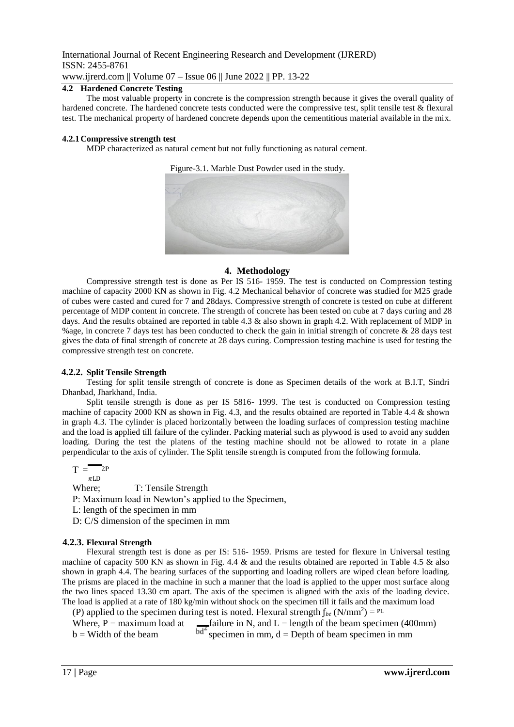International Journal of Recent Engineering Research and Development (IJRERD) ISSN: 2455-8761 www.ijrerd.com || Volume 07 – Issue 06 || June 2022 || PP. 13-22

# **4.2 Hardened Concrete Testing**

The most valuable property in concrete is the compression strength because it gives the overall quality of hardened concrete. The hardened concrete tests conducted were the compressive test, split tensile test & flexural test. The mechanical property of hardened concrete depends upon the cementitious material available in the mix.

### **4.2.1Compressive strength test**

MDP characterized as natural cement but not fully functioning as natural cement.

Figure-3.1. Marble Dust Powder used in the study.



## **4. Methodology**

Compressive strength test is done as Per IS 516- 1959. The test is conducted on Compression testing machine of capacity 2000 KN as shown in Fig. 4.2 Mechanical behavior of concrete was studied for M25 grade of cubes were casted and cured for 7 and 28days. Compressive strength of concrete is tested on cube at different percentage of MDP content in concrete. The strength of concrete has been tested on cube at 7 days curing and 28 days. And the results obtained are reported in table 4.3 & also shown in graph 4.2. With replacement of MDP in %age, in concrete 7 days test has been conducted to check the gain in initial strength of concrete & 28 days test gives the data of final strength of concrete at 28 days curing. Compression testing machine is used for testing the compressive strength test on concrete.

# **4.2.2. Split Tensile Strength**

Testing for split tensile strength of concrete is done as Specimen details of the work at B.I.T, Sindri Dhanbad, Jharkhand, India.

Split tensile strength is done as per IS 5816- 1999. The test is conducted on Compression testing machine of capacity 2000 KN as shown in Fig. 4.3, and the results obtained are reported in Table 4.4 & shown in graph 4.3. The cylinder is placed horizontally between the loading surfaces of compression testing machine and the load is applied till failure of the cylinder. Packing material such as plywood is used to avoid any sudden loading. During the test the platens of the testing machine should not be allowed to rotate in a plane perpendicular to the axis of cylinder. The Split tensile strength is computed from the following formula.

$$
T = \frac{P}{\pi L D}
$$

Where; T: Tensile Strength

P: Maximum load in Newton's applied to the Specimen,

L: length of the specimen in mm

D: C/S dimension of the specimen in mm

# **4.2.3. Flexural Strength**

Flexural strength test is done as per IS: 516- 1959. Prisms are tested for flexure in Universal testing machine of capacity 500 KN as shown in Fig. 4.4 & and the results obtained are reported in Table 4.5 & also shown in graph 4.4. The bearing surfaces of the supporting and loading rollers are wiped clean before loading. The prisms are placed in the machine in such a manner that the load is applied to the upper most surface along the two lines spaced 13.30 cm apart. The axis of the specimen is aligned with the axis of the loading device. The load is applied at a rate of 180 kg/min without shock on the specimen till it fails and the maximum load

(P) applied to the specimen during test is noted. Flexural strength  $f_{bt}$  (N/mm<sup>2</sup>) = <sup>PL</sup>

Where,  $P =$  maximum load at  $\qquad \qquad$  failure in N, and L = length of the beam specimen (400mm)  $b =$  Width of the beam  $b =$   $b =$  specimen in mm, d = Depth of beam specimen in mm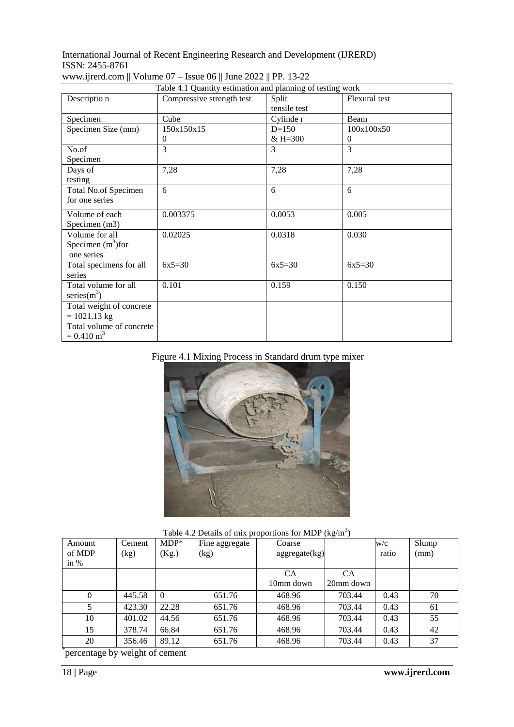|                          | Table 4.1 Quantity estimation and planning of testing work |                       |               |
|--------------------------|------------------------------------------------------------|-----------------------|---------------|
| Descriptio n             | Compressive strength test                                  | Split<br>tensile test | Flexural test |
| Specimen                 | Cube                                                       | Cylinde r             | Beam          |
| Specimen Size (mm)       | 150x150x15                                                 | $D=150$               | 100x100x50    |
|                          | $\theta$                                                   | $& H = 300$           | $\theta$      |
| No.of                    | 3                                                          | 3                     | 3             |
| Specimen                 |                                                            |                       |               |
| Days of                  | 7,28                                                       | 7,28                  | 7,28          |
| testing                  |                                                            |                       |               |
| Total No.of Specimen     | 6                                                          | 6                     | 6             |
| for one series           |                                                            |                       |               |
| Volume of each           | 0.003375                                                   | 0.0053                | 0.005         |
| Specimen (m3)            |                                                            |                       |               |
| Volume for all           | 0.02025                                                    | 0.0318                | 0.030         |
| Specimen $(m^3)$ for     |                                                            |                       |               |
| one series               |                                                            |                       |               |
| Total specimens for all  | $6x5=30$                                                   | $6x5=30$              | $6x5=30$      |
| series                   |                                                            |                       |               |
| Total volume for all     | 0.101                                                      | 0.159                 | 0.150         |
| series $(m^3)$           |                                                            |                       |               |
| Total weight of concrete |                                                            |                       |               |
| $= 1021.13$ kg           |                                                            |                       |               |
| Total volume of concrete |                                                            |                       |               |
| $= 0.410 \text{ m}^3$    |                                                            |                       |               |

# www.ijrerd.com || Volume 07 – Issue 06 || June 2022 || PP. 13-22

# Figure 4.1 Mixing Process in Standard drum type mixer



## Table 4.2 Details of mix proportions for MDP  $\text{(kg/m}^3\text{)}$

| Amount   | Cement | $MDP*$   | Fine aggregate | Coarse        | $\sim$ $\sigma$ | W/c   | Slump |
|----------|--------|----------|----------------|---------------|-----------------|-------|-------|
| of MDP   | (kg)   | (Kg.)    | (kg)           | aggregate(kg) |                 | ratio | (mm)  |
| in $%$   |        |          |                |               |                 |       |       |
|          |        |          |                | CA            | СA              |       |       |
|          |        |          |                | 10mm down     | 20mm down       |       |       |
| $\theta$ | 445.58 | $\Omega$ | 651.76         | 468.96        | 703.44          | 0.43  | 70    |
|          | 423.30 | 22.28    | 651.76         | 468.96        | 703.44          | 0.43  | 61    |
| 10       | 401.02 | 44.56    | 651.76         | 468.96        | 703.44          | 0.43  | 55    |
| 15       | 378.74 | 66.84    | 651.76         | 468.96        | 703.44          | 0.43  | 42    |
| 20       | 356.46 | 89.12    | 651.76         | 468.96        | 703.44          | 0.43  | 37    |

\* percentage by weight of cement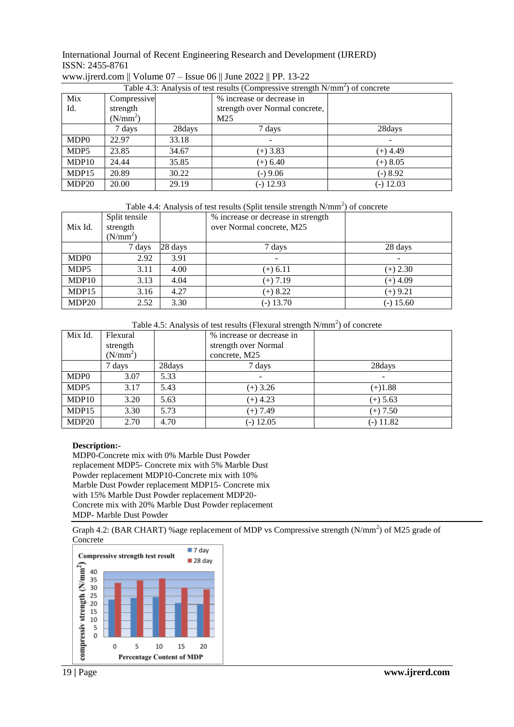| Table 4.3: Analysis of test results (Compressive strength N/mm <sup>2</sup> ) of concrete |                      |        |                                |             |
|-------------------------------------------------------------------------------------------|----------------------|--------|--------------------------------|-------------|
| Mix                                                                                       | Compressive          |        | % increase or decrease in      |             |
| Id.                                                                                       | strength             |        | strength over Normal concrete, |             |
|                                                                                           | (N/mm <sup>2</sup> ) | M25    |                                |             |
|                                                                                           | 7 days               | 28days | 7 days                         | 28days      |
| MDP <sub>0</sub>                                                                          | 22.97                | 33.18  |                                |             |
| MDP5                                                                                      | 23.85                | 34.67  | $(+)$ 3.83                     | $(+)$ 4.49  |
| MDP10                                                                                     | 24.44                | 35.85  | $(+) 6.40$                     | $(+)$ 8.05  |
| MDP15                                                                                     | 20.89                | 30.22  | $(-) 9.06$                     | $-)8.92$    |
| MDP <sub>20</sub>                                                                         | 20.00                | 29.19  | $(-)$ 12.93                    | $(-)$ 12.03 |

# www.ijrerd.com || Volume 07 – Issue 06 || June 2022 || PP. 13-22

Table 4.4: Analysis of test results (Split tensile strength N/mm<sup>2</sup>) of concrete

| Mix Id.           | Split tensile<br>strength<br>$(N/mm^2)$ |         | % increase or decrease in strength<br>over Normal concrete, M25 |             |
|-------------------|-----------------------------------------|---------|-----------------------------------------------------------------|-------------|
|                   | 7 days                                  | 28 days | 7 days                                                          | 28 days     |
| MDP <sub>0</sub>  | 2.92                                    | 3.91    |                                                                 |             |
| MDP5              | 3.11                                    | 4.00    | $(+) 6.11$                                                      | $(+) 2.30$  |
| MDP10             | 3.13                                    | 4.04    | $(+)$ 7.19                                                      | $(+)$ 4.09  |
| MDP15             | 3.16                                    | 4.27    | $(+)$ 8.22                                                      | $(+)$ 9.21  |
| MDP <sub>20</sub> | 2.52                                    | 3.30    | $(-) 13.70$                                                     | $(-)$ 15.60 |

Table 4.5: Analysis of test results (Flexural strength  $N/mm<sup>2</sup>$ ) of concrete

| Mix Id.          | Flexural<br>strength<br>(N/mm <sup>2</sup> ) |        | % increase or decrease in<br>strength over Normal<br>concrete, M25 |                          |
|------------------|----------------------------------------------|--------|--------------------------------------------------------------------|--------------------------|
|                  | 7 days                                       | 28days | 7 days                                                             | 28days                   |
| MDP <sub>0</sub> | 3.07                                         | 5.33   |                                                                    | $\overline{\phantom{0}}$ |
| MDP5             | 3.17                                         | 5.43   | $(+)$ 3.26                                                         | $(+)1.88$                |
| MDP10            | 3.20                                         | 5.63   | $(+)$ 4.23                                                         | $(+) 5.63$               |
| MDP15            | 3.30                                         | 5.73   | $(+)$ 7.49                                                         | $(+)$ 7.50               |
| MDP20            | 2.70                                         | 4.70   | $(-)$ 12.05                                                        | $(-)$ 11.82              |

#### **Description:-**

MDP0-Concrete mix with 0% Marble Dust Powder replacement MDP5- Concrete mix with 5% Marble Dust Powder replacement MDP10-Concrete mix with 10% Marble Dust Powder replacement MDP15- Concrete mix with 15% Marble Dust Powder replacement MDP20- Concrete mix with 20% Marble Dust Powder replacement MDP**-** Marble Dust Powder

Graph 4.2: (BAR CHART) % age replacement of MDP vs Compressive strength  $(N/mm<sup>2</sup>)$  of M25 grade of Concrete

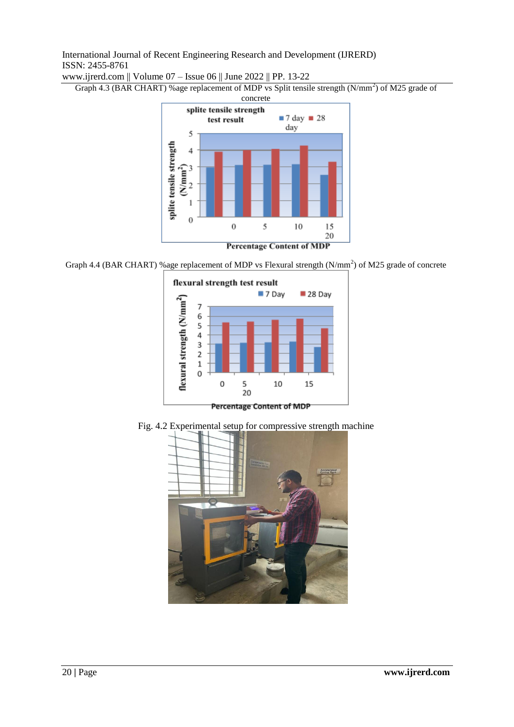www.ijrerd.com || Volume 07 – Issue 06 || June 2022 || PP. 13-22

Graph 4.3 (BAR CHART) % age replacement of MDP vs Split tensile strength (N/mm<sup>2</sup>) of M25 grade of



Graph 4.4 (BAR CHART) % age replacement of MDP vs Flexural strength (N/mm<sup>2</sup>) of M25 grade of concrete



Fig. 4.2 Experimental setup for compressive strength machine

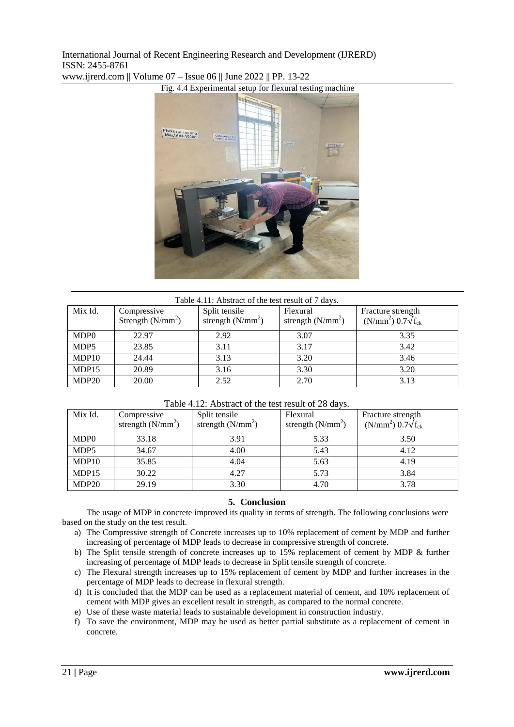

www.ijrerd.com || Volume 07 – Issue 06 || June 2022 || PP. 13-22

| Table 4.11: Abstract of the test result of 7 days. |                                    |                                      |                                 |                                                              |
|----------------------------------------------------|------------------------------------|--------------------------------------|---------------------------------|--------------------------------------------------------------|
| Mix Id.                                            | Compressive<br>Strength $(N/mm^2)$ | Split tensile<br>strength $(N/mm^2)$ | Flexural<br>strength $(N/mm^2)$ | Fracture strength<br>(N/mm <sup>2</sup> ) $0.7\sqrt{f_{ck}}$ |
| MDP <sub>0</sub>                                   | 22.97                              | 2.92                                 | 3.07                            | 3.35                                                         |
| MDP5                                               | 23.85                              | 3.11                                 | 3.17                            | 3.42                                                         |
| MDP10                                              | 24.44                              | 3.13                                 | 3.20                            | 3.46                                                         |
| MDP15                                              | 20.89                              | 3.16                                 | 3.30                            | 3.20                                                         |
| MDP <sub>20</sub>                                  | 20.00                              | 2.52                                 | 2.70                            | 3.13                                                         |

### Table 4.12: Abstract of the test result of 28 days.

| Mix Id.           | Compressive<br>strength $(N/mm^2)$ | Split tensile<br>strength $(N/mm^2)$ | Flexural<br>strength $(N/mm^2)$ | Fracture strength<br>(N/mm <sup>2</sup> ) $0.7\sqrt{f_{ck}}$ |
|-------------------|------------------------------------|--------------------------------------|---------------------------------|--------------------------------------------------------------|
| MDP <sub>0</sub>  | 33.18                              | 3.91                                 | 5.33                            | 3.50                                                         |
| MDP5              | 34.67                              | 4.00                                 | 5.43                            | 4.12                                                         |
| MDP10             | 35.85                              | 4.04                                 | 5.63                            | 4.19                                                         |
| MDP15             | 30.22                              | 4.27                                 | 5.73                            | 3.84                                                         |
| MDP <sub>20</sub> | 29.19                              | 3.30                                 | 4.70                            | 3.78                                                         |

# **5. Conclusion**

The usage of MDP in concrete improved its quality in terms of strength. The following conclusions were based on the study on the test result.

- a) The Compressive strength of Concrete increases up to 10% replacement of cement by MDP and further increasing of percentage of MDP leads to decrease in compressive strength of concrete.
- b) The Split tensile strength of concrete increases up to 15% replacement of cement by MDP & further increasing of percentage of MDP leads to decrease in Split tensile strength of concrete.
- c) The Flexural strength increases up to 15% replacement of cement by MDP and further increases in the percentage of MDP leads to decrease in flexural strength.
- d) It is concluded that the MDP can be used as a replacement material of cement, and 10% replacement of cement with MDP gives an excellent result in strength, as compared to the normal concrete.
- e) Use of these waste material leads to sustainable development in construction industry.
- f) To save the environment, MDP may be used as better partial substitute as a replacement of cement in concrete.